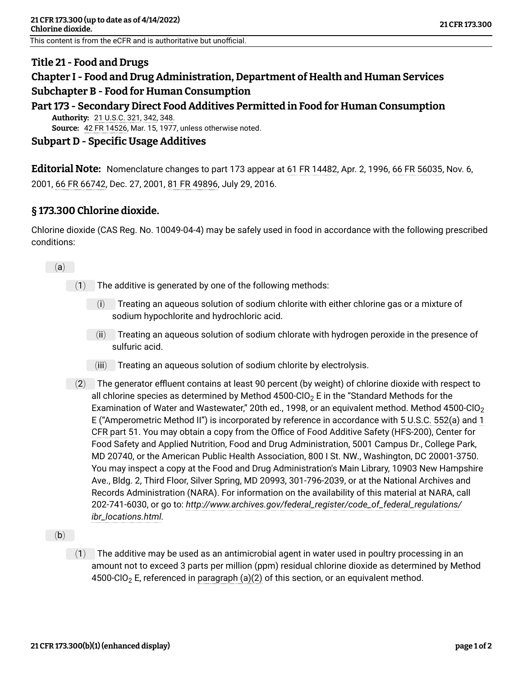# **Title 21 - Food and Drugs**

# **Chapter I - Food and Drug Administration, Department of Health and Human Services Subchapter B - Food for Human Consumption**

#### **Part 173 - Secondary Direct Food Additives Permitted in Food for Human Consumption Authority:** [21 U.S.C. 321](https://www.govinfo.gov/link/uscode/21/321), [342](https://www.govinfo.gov/link/uscode/21/342), [348.](https://www.govinfo.gov/link/uscode/21/348)

**Source:** [42 FR 14526,](https://www.federalregister.gov/citation/42-FR-14526) Mar. 15, 1977, unless otherwise noted.

### **Subpart D - Specific Usage Additives**

**Editorial Note:** Nomenclature changes to part 173 appear at [61 FR 14482,](https://www.federalregister.gov/citation/61-FR-14482) Apr. 2, 1996, [66 FR 56035](https://www.federalregister.gov/citation/66-FR-56035), Nov. 6, 2001, [66 FR 66742,](https://www.federalregister.gov/citation/66-FR-66742) Dec. 27, 2001, [81 FR 49896](https://www.federalregister.gov/citation/81-FR-49896), July 29, 2016.

# **§ 173.300 Chlorine dioxide.**

Chlorine dioxide (CAS Reg. No. 10049-04-4) may be safely used in food in accordance with the following prescribed conditions:

# $(a)$

- $(1)$  The additive is generated by one of the following methods:
	- (i) Treating an aqueous solution of sodium chlorite with either chlorine gas or a mixture of sodium hypochlorite and hydrochloric acid.
	- (ii) Treating an aqueous solution of sodium chlorate with hydrogen peroxide in the presence of sulfuric acid.
	- (iii) Treating an aqueous solution of sodium chlorite by electrolysis.
- <span id="page-0-0"></span>(2) The generator effluent contains at least 90 percent (by weight) of chlorine dioxide with respect to all chlorine species as determined by Method 4500-ClO<sub>2</sub> E in the "Standard Methods for the Examination of Water and Wastewater," 20th ed., 1998, or an equivalent method. Method 4500-ClO<sub>2</sub> E ("Amperometric Method II") is incorporated by reference in accordance with [5 U.S.C. 552\(a\)](https://www.govinfo.gov/link/uscode/5/552) and [1](https://www.ecfr.gov/current/title-1/part-51/) [CFR part 51](https://www.ecfr.gov/current/title-1/part-51/). You may obtain a copy from the Office of Food Additive Safety (HFS-200), Center for Food Safety and Applied Nutrition, Food and Drug Administration, 5001 Campus Dr., College Park, MD 20740, or the American Public Health Association, 800 I St. NW., Washington, DC 20001-3750. You may inspect a copy at the Food and Drug Administration's Main Library, 10903 New Hampshire Ave., Bldg. 2, Third Floor, Silver Spring, MD 20993, 301-796-2039, or at the National Archives and Records Administration (NARA). For information on the availability of this material at NARA, call 202-741-6030, or go to: *[http://www.archives.gov/federal\\_register/code\\_of\\_federal\\_regulations/](http://www.archives.gov/federal_register/code_of_federal_regulations/ibr_locations.html) [ibr\\_locations.html](http://www.archives.gov/federal_register/code_of_federal_regulations/ibr_locations.html).*
- $(b)$ 
	- $(1)$  The additive may be used as an antimicrobial agent in water used in poultry processing in an amount not to exceed 3 parts per million (ppm) residual chlorine dioxide as determined by Method 4500-ClO<sub>2</sub> E, referenced in [paragraph \(a\)\(2\)](#page-0-0) of this section, or an equivalent method.